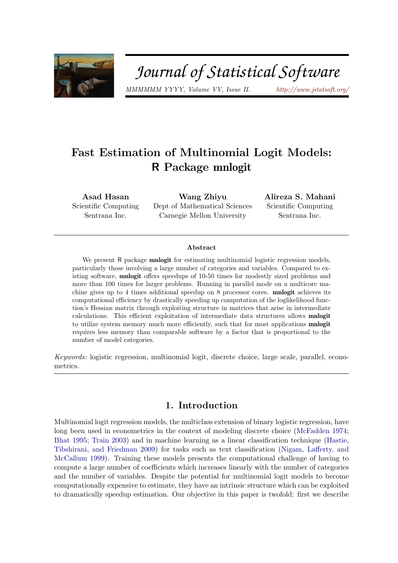

# Journal of Statistical Software

MMMMMM YYYY, Volume VV, Issue II. <http://www.jstatsoft.org/>

## Fast Estimation of Multinomial Logit Models: R Package mnlogit

Asad Hasan Scientific Computing Sentrana Inc.

Wang Zhiyu Dept of Mathematical Sciences Carnegie Mellon University

Alireza S. Mahani Scientific Computing Sentrana Inc.

#### Abstract

We present R package **mnlogit** for estimating multinomial logistic regression models, particularly those involving a large number of categories and variables. Compared to existing software, mnlogit offers speedups of 10-50 times for modestly sized problems and more than 100 times for larger problems. Running in parallel mode on a multicore machine gives up to 4 times additional speedup on 8 processor cores. mnlogit achieves its computational efficiency by drastically speeding up computation of the loglikelihood function's Hessian matrix through exploiting structure in matrices that arise in intermediate calculations. This efficient exploitation of intermediate data structures allows mnlogit to utilize system memory much more efficiently, such that for most applications mnlogit requires less memory than comparable software by a factor that is proportional to the number of model categories.

Keywords: logistic regression, multinomial logit, discrete choice, large scale, parallel, econometrics.

## 1. Introduction

Multinomial logit regression models, the multiclass extension of binary logistic regression, have long been used in econometrics in the context of modeling discrete choice [\(McFadden](#page-21-0) [1974;](#page-21-0) [Bhat](#page-21-1) [1995;](#page-21-1) [Train](#page-22-0) [2003\)](#page-22-0) and in machine learning as a linear classification technique [\(Hastie,](#page-21-2) [Tibshirani, and Friedman](#page-21-2) [2009\)](#page-21-2) for tasks such as text classification [\(Nigam, Lafferty, and](#page-22-1) [McCallum](#page-22-1) [1999\)](#page-22-1). Training these models presents the computational challenge of having to compute a large number of coefficients which increases linearly with the number of categories and the number of variables. Despite the potential for multinomial logit models to become computationally expensive to estimate, they have an intrinsic structure which can be exploited to dramatically speedup estimation. Our objective in this paper is twofold: first we describe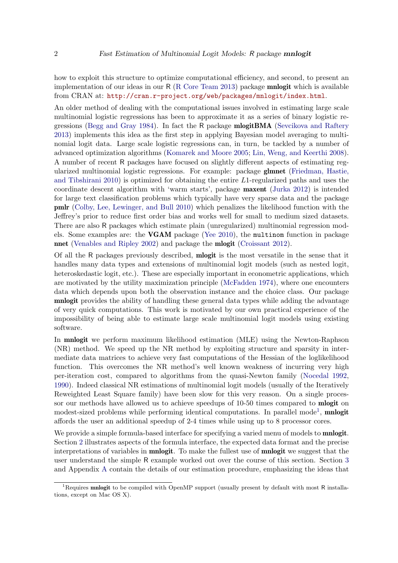how to exploit this structure to optimize computational efficiency, and second, to present an implementation of our ideas in our R [\(R Core Team](#page-22-2) [2013\)](#page-22-2) package mnlogit which is available from CRAN at: <http://cran.r-project.org/web/packages/mnlogit/index.html>.

An older method of dealing with the computational issues involved in estimating large scale multinomial logistic regressions has been to approximate it as a series of binary logistic regressions [\(Begg and Gray](#page-21-3) [1984\)](#page-21-3). In fact the R package mlogitBMA [\(Sevcikova and Raftery](#page-22-3) [2013\)](#page-22-3) implements this idea as the first step in applying Bayesian model averaging to multinomial logit data. Large scale logistic regressions can, in turn, be tackled by a number of advanced optimization algorithms [\(Komarek and Moore](#page-21-4) [2005;](#page-21-4) [Lin, Weng, and Keerthi](#page-21-5) [2008\)](#page-21-5). A number of recent R packages have focused on slightly different aspects of estimating regularized multinomial logistic regressions. For example: package glmnet [\(Friedman, Hastie,](#page-21-6) [and Tibshirani](#page-21-6) [2010\)](#page-21-6) is optimized for obtaining the entire L1-regularized paths and uses the coordinate descent algorithm with 'warm starts', package maxent [\(Jurka](#page-21-7) [2012\)](#page-21-7) is intended for large text classification problems which typically have very sparse data and the package pmlr [\(Colby, Lee, Lewinger, and Bull](#page-21-8) [2010\)](#page-21-8) which penalizes the likelihood function with the Jeffrey's prior to reduce first order bias and works well for small to medium sized datasets. There are also R packages which estimate plain (unregularized) multinomial regression models. Some examples are: the VGAM package [\(Yee](#page-22-4) [2010\)](#page-22-4), the multinom function in package nnet [\(Venables and Ripley](#page-22-5) [2002\)](#page-22-5) and package the mlogit [\(Croissant](#page-21-9) [2012\)](#page-21-9).

Of all the R packages previously described, mlogit is the most versatile in the sense that it handles many data types and extensions of multinomial logit models (such as nested logit, heteroskedastic logit, etc.). These are especially important in econometric applications, which are motivated by the utility maximization principle [\(McFadden](#page-21-0) [1974\)](#page-21-0), where one encounters data which depends upon both the observation instance and the choice class. Our package mnlogit provides the ability of handling these general data types while adding the advantage of very quick computations. This work is motivated by our own practical experience of the impossibility of being able to estimate large scale multinomial logit models using existing software.

In mnlogit we perform maximum likelihood estimation (MLE) using the Newton-Raphson (NR) method. We speed up the NR method by exploiting structure and sparsity in intermediate data matrices to achieve very fast computations of the Hessian of the loglikelihood function. This overcomes the NR method's well known weakness of incurring very high per-iteration cost, compared to algorithms from the quasi-Newton family [\(Nocedal](#page-22-6) [1992,](#page-22-6) [1990\)](#page-22-7). Indeed classical NR estimations of multinomial logit models (usually of the Iteratively Reweighted Least Square family) have been slow for this very reason. On a single processor our methods have allowed us to achieve speedups of 10-50 times compared to **mlogit** on modest-sized problems while performing identical computations. In parallel mode<sup>[1](#page-1-0)</sup>, mnlogit affords the user an additional speedup of 2-4 times while using up to 8 processor cores.

We provide a simple formula-based interface for specifying a varied menu of models to **mnlogit**. Section [2](#page-2-0) illustrates aspects of the formula interface, the expected data format and the precise interpretations of variables in mnlogit. To make the fullest use of mnlogit we suggest that the user understand the simple R example worked out over the course of this section. Section [3](#page-7-0) and Appendix [A](#page-16-0) contain the details of our estimation procedure, emphasizing the ideas that

<span id="page-1-0"></span><sup>&</sup>lt;sup>1</sup>Requires **mnlogit** to be compiled with OpenMP support (usually present by default with most R installations, except on Mac OS X).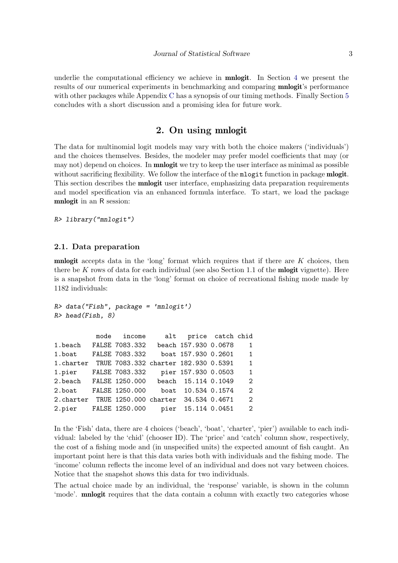underlie the computational efficiency we achieve in **mnlogit**. In Section [4](#page-12-0) we present the results of our numerical experiments in benchmarking and comparing mnlogit's performance with other packages while Appendix [C](#page-18-0) has a synopsis of our timing methods. Finally Section [5](#page-15-0) concludes with a short discussion and a promising idea for future work.

## 2. On using mnlogit

<span id="page-2-0"></span>The data for multinomial logit models may vary with both the choice makers ('individuals') and the choices themselves. Besides, the modeler may prefer model coefficients that may (or may not) depend on choices. In **mnlogit** we try to keep the user interface as minimal as possible without sacrificing flexibility. We follow the interface of the mlogit function in package **mlogit**. This section describes the **mnlogit** user interface, emphasizing data preparation requirements and model specification via an enhanced formula interface. To start, we load the package mnlogit in an R session:

```
R> library("mnlogit")
```
#### <span id="page-2-1"></span>2.1. Data preparation

**mnlogit** accepts data in the 'long' format which requires that if there are  $K$  choices, then there be K rows of data for each individual (see also Section 1.1 of the **mlogit** vignette). Here is a snapshot from data in the 'long' format on choice of recreational fishing mode made by 1182 individuals:

```
R> data("Fish", package = 'mnlogit')
R> head(Fish, 8)
```

|                                                 | mode income    | alt price catch chid |                             |
|-------------------------------------------------|----------------|----------------------|-----------------------------|
| 1.beach FALSE 7083.332 beach 157.930 0.0678     |                |                      | $\mathbf{1}$                |
| 1.boat                                          | FALSE 7083.332 | boat 157.930 0.2601  | $\mathbf{1}$                |
| 1. charter TRUE 7083.332 charter 182.930 0.5391 |                |                      | $\mathbf{1}$                |
| 1.pier                                          | FALSE 7083.332 | pier 157.930 0.0503  | $\mathbf{1}$                |
| 2.beach FALSE 1250.000 beach 15.114 0.1049      |                |                      | $\mathcal{D}_{\mathcal{L}}$ |
| 2.boat                                          | FALSE 1250.000 | boat 10.534 0.1574   | $\mathcal{D}_{\mathcal{L}}$ |
| 2. charter TRUE 1250.000 charter 34.534 0.4671  |                |                      | $\overline{2}$              |
| 2.pier FALSE 1250.000                           |                | pier 15.114 0.0451   | 2                           |

In the 'Fish' data, there are 4 choices ('beach', 'boat', 'charter', 'pier') available to each individual: labeled by the 'chid' (chooser ID). The 'price' and 'catch' column show, respectively, the cost of a fishing mode and (in unspecified units) the expected amount of fish caught. An important point here is that this data varies both with individuals and the fishing mode. The 'income' column reflects the income level of an individual and does not vary between choices. Notice that the snapshot shows this data for two individuals.

The actual choice made by an individual, the 'response' variable, is shown in the column 'mode'. mnlogit requires that the data contain a column with exactly two categories whose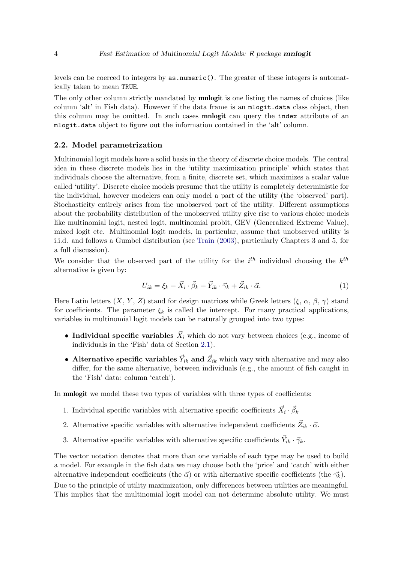levels can be coerced to integers by as.numeric(). The greater of these integers is automatically taken to mean TRUE.

The only other column strictly mandated by **mnlogit** is one listing the names of choices (like column 'alt' in Fish data). However if the data frame is an mlogit.data class object, then this column may be omitted. In such cases **mnlogit** can query the index attribute of an mlogit.data object to figure out the information contained in the 'alt' column.

#### <span id="page-3-0"></span>2.2. Model parametrization

Multinomial logit models have a solid basis in the theory of discrete choice models. The central idea in these discrete models lies in the 'utility maximization principle' which states that individuals choose the alternative, from a finite, discrete set, which maximizes a scalar value called 'utility'. Discrete choice models presume that the utility is completely deterministic for the individual, however modelers can only model a part of the utility (the 'observed' part). Stochasticity entirely arises from the unobserved part of the utility. Different assumptions about the probability distribution of the unobserved utility give rise to various choice models like multinomial logit, nested logit, multinomial probit, GEV (Generalized Extreme Value), mixed logit etc. Multinomial logit models, in particular, assume that unobserved utility is i.i.d. and follows a Gumbel distribution (see [Train](#page-22-0) [\(2003\)](#page-22-0), particularly Chapters 3 and 5, for a full discussion).

We consider that the observed part of the utility for the  $i^{th}$  individual choosing the  $k^{th}$ alternative is given by:

$$
U_{ik} = \xi_k + \vec{X}_i \cdot \vec{\beta}_k + \vec{Y}_{ik} \cdot \vec{\gamma}_k + \vec{Z}_{ik} \cdot \vec{\alpha}.\tag{1}
$$

Here Latin letters  $(X, Y, Z)$  stand for design matrices while Greek letters  $(\xi, \alpha, \beta, \gamma)$  stand for coefficients. The parameter  $\xi_k$  is called the intercept. For many practical applications, variables in multinomial logit models can be naturally grouped into two types:

- Individual specific variables  $\vec{X}_i$  which do not vary between choices (e.g., income of individuals in the 'Fish' data of Section [2.1\)](#page-2-1).
- Alternative specific variables  $\vec{Y}_{ik}$  and  $\vec{Z}_{ik}$  which vary with alternative and may also differ, for the same alternative, between individuals (e.g., the amount of fish caught in the 'Fish' data: column 'catch').

In **mnlogit** we model these two types of variables with three types of coefficients:

- 1. Individual specific variables with alternative specific coefficients  $\vec{X}_i \cdot \vec{\beta}_k$
- 2. Alternative specific variables with alternative independent coefficients  $\vec{Z}_{ik} \cdot \vec{\alpha}$ .
- 3. Alternative specific variables with alternative specific coefficients  $\vec{Y}_{ik} \cdot \vec{\gamma}_k$ .

The vector notation denotes that more than one variable of each type may be used to build a model. For example in the fish data we may choose both the 'price' and 'catch' with either alternative independent coefficients (the  $\vec{\alpha}$ ) or with alternative specific coefficients (the  $\vec{\gamma_k}$ ).

Due to the principle of utility maximization, only differences between utilities are meaningful. This implies that the multinomial logit model can not determine absolute utility. We must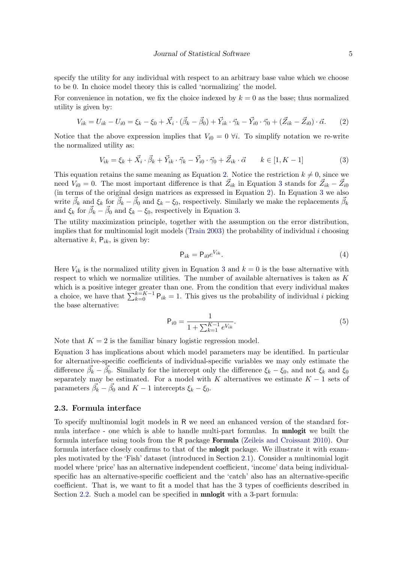specify the utility for any individual with respect to an arbitrary base value which we choose to be 0. In choice model theory this is called 'normalizing' the model.

For convenience in notation, we fix the choice indexed by  $k = 0$  as the base; thus normalized utility is given by:

$$
V_{ik} = U_{ik} - U_{i0} = \xi_k - \xi_0 + \vec{X}_i \cdot (\vec{\beta}_k - \vec{\beta}_0) + \vec{Y}_{ik} \cdot \vec{\gamma}_k - \vec{Y}_{i0} \cdot \vec{\gamma}_0 + (\vec{Z}_{ik} - \vec{Z}_{i0}) \cdot \vec{\alpha}.
$$
 (2)

Notice that the above expression implies that  $V_{i0} = 0 \forall i$ . To simplify notation we re-write the normalized utility as:

$$
V_{ik} = \xi_k + \vec{X}_i \cdot \vec{\beta}_k + \vec{Y}_{ik} \cdot \vec{\gamma}_k - \vec{Y}_{i0} \cdot \vec{\gamma}_0 + \vec{Z}_{ik} \cdot \vec{\alpha} \qquad k \in [1, K - 1]
$$
\n(3)

This equation retains the same meaning as Equation [2.](#page-4-0) Notice the restriction  $k \neq 0$ , since we need  $V_{i0} = 0$ . The most important difference is that  $\vec{Z}_{ik}$  in Equation [3](#page-4-1) stands for  $\vec{Z}_{ik} - \vec{Z}_{i0}$ (in terms of the original design matrices as expressed in Equation [2\)](#page-4-0). In Equation [3](#page-4-1) we also write  $\vec{\beta}_k$  and  $\xi_k$  for  $\vec{\beta}_k - \vec{\beta}_0$  and  $\xi_k - \xi_0$ , respectively. Similarly we make the replacements  $\vec{\beta}_k$ <br>and  $\xi_k$  for  $\vec{\beta}_k - \vec{\beta}_0$  and  $\xi_k - \xi_0$ , respectively in Equation [3.](#page-4-1)

The utility maximization principle, together with the assumption on the error distribution, implies that for multinomial logit models [\(Train](#page-22-0) [2003\)](#page-22-0) the probability of individual  $i$  choosing alternative  $k$ ,  $P_{ik}$ , is given by:

<span id="page-4-3"></span><span id="page-4-2"></span><span id="page-4-1"></span><span id="page-4-0"></span>
$$
\mathsf{P}_{ik} = \mathsf{P}_{i0} e^{V_{ik}}.\tag{4}
$$

Here  $V_{ik}$  is the normalized utility given in Equation [3](#page-4-1) and  $k = 0$  is the base alternative with respect to which we normalize utilities. The number of available alternatives is taken as K which is a positive integer greater than one. From the condition that every individual makes a choice, we have that  $\sum_{k=0}^{k=K-1} P_{ik} = 1$ . This gives us the probability of individual i picking the base alternative:

$$
\mathsf{P}_{i0} = \frac{1}{1 + \sum_{k=1}^{K-1} e^{V_{ik}}}.\tag{5}
$$

Note that  $K = 2$  is the familiar binary logistic regression model.

Equation [3](#page-4-1) has implications about which model parameters may be identified. In particular for alternative-specific coefficients of individual-specific variables we may only estimate the difference  $\vec{\beta}_k - \vec{\beta}_0$ . Similarly for the intercept only the difference  $\xi_k - \xi_0$ , and not  $\xi_k$  and  $\xi_0$ separately may be estimated. For a model with K alternatives we estimate  $K - 1$  sets of parameters  $\vec{\beta_k} - \vec{\beta_0}$  and  $K - 1$  intercepts  $\xi_k - \xi_0$ .

#### 2.3. Formula interface

To specify multinomial logit models in R we need an enhanced version of the standard formula interface - one which is able to handle multi-part formulas. In mnlogit we built the formula interface using tools from the R package Formula [\(Zeileis and Croissant](#page-22-8) [2010\)](#page-22-8). Our formula interface closely confirms to that of the **mlogit** package. We illustrate it with examples motivated by the 'Fish' dataset (introduced in Section [2.1\)](#page-2-1). Consider a multinomial logit model where 'price' has an alternative independent coefficient, 'income' data being individualspecific has an alternative-specific coefficient and the 'catch' also has an alternative-specific coefficient. That is, we want to fit a model that has the 3 types of coefficients described in Section [2.2.](#page-3-0) Such a model can be specified in **mnlogit** with a 3-part formula: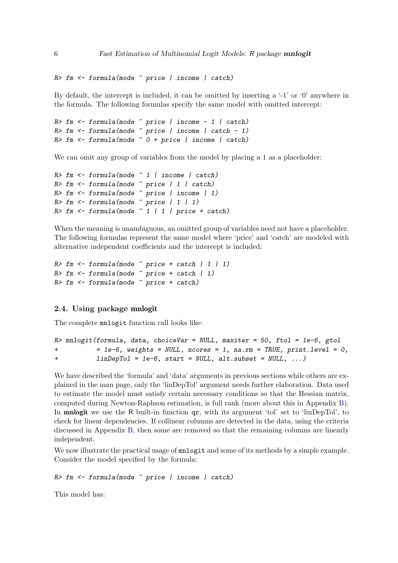```
R> fm <- formula(mode ~ price | income | catch)
```
By default, the intercept is included, it can be omitted by inserting a '-1' or '0' anywhere in the formula. The following formulas specify the same model with omitted intercept:

```
R> fm \leftarrow formula(mode \sim price | income - 1 | catch)
R> fm \leq formula(mode \sim price | income | catch - 1)
R> fm <- formula(mode \tilde{ } 0 + price | income | catch)
```
We can omit any group of variables from the model by placing a 1 as a placeholder:

```
R > fm \leq fromula(model \sim 1 | income | catch)
R> fm <- formula(mode ~ price | 1 | catch)
R> fm <- formula(mode ~ price | income | 1)
R> fm <- formula(mode \tilde{ } price | 1 | 1)
R> fm \leq fromula (mode \sim 1 \mid 1 \mid price + catch)
```
When the meaning is unambiguous, an omitted group of variables need not have a placeholder. The following formulas represent the same model where 'price' and 'catch' are modeled with alternative independent coefficients and the intercept is included:

```
R> fm \leq formula (mode \text{~} r) price + catch \text{~} 1 \text{~} 1)R> fm <- formula(mode \tilde{ } price + catch | 1)
R> fm <- formula(mode ~ price + catch)
```
#### <span id="page-5-0"></span>2.4. Using package mnlogit

The complete mnlogit function call looks like:

```
R> mnlogit(formula, data, choiceVar = NULL, maxiter = 50, ftol = 1e-6, gtol
+ = 1e-6, weights = NULL, ncores = 1, na.rm = TRUE, print.level = 0,
+ linDepTol = 1e-6, start = NULL, alt.subset = NULL, ...)
```
We have described the 'formula' and 'data' arguments in previous sections while others are explained in the man page, only the 'linDepTol' argument needs further elaboration. Data used to estimate the model must satisfy certain necessary conditions so that the Hessian matrix, computed during Newton-Raphson estimation, is full rank (more about this in Appendix [B\)](#page-17-0). In mnlogit we use the R built-in function qr, with its argument 'tol' set to 'linDepTol', to check for linear dependencies. If collinear columns are detected in the data, using the criteria discussed in Appendix [B,](#page-17-0) then some are removed so that the remaining columns are linearly independent.

We now illustrate the practical usage of  $m\nu$  and some of its methods by a simple example. Consider the model specified by the formula:

R> fm <- formula(mode ~ price | income | catch)

This model has: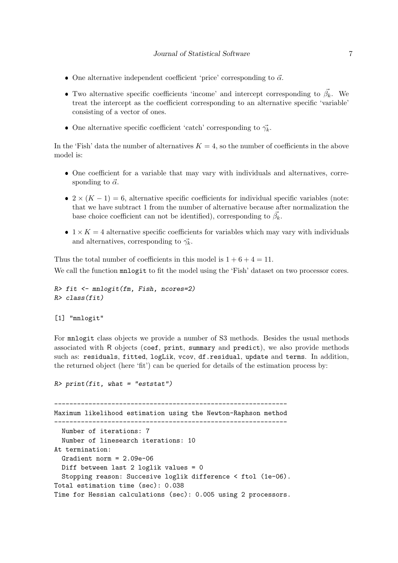- One alternative independent coefficient 'price' corresponding to  $\vec{\alpha}$ .
- Two alternative specific coefficients 'income' and intercept corresponding to  $\vec{\beta_k}$ . We treat the intercept as the coefficient corresponding to an alternative specific 'variable' consisting of a vector of ones.
- One alternative specific coefficient 'catch' corresponding to  $\vec{\gamma_k}$ .

In the 'Fish' data the number of alternatives  $K = 4$ , so the number of coefficients in the above model is:

- One coefficient for a variable that may vary with individuals and alternatives, corresponding to  $\vec{\alpha}$ .
- $2 \times (K-1) = 6$ , alternative specific coefficients for individual specific variables (note: that we have subtract 1 from the number of alternative because after normalization the base choice coefficient can not be identified), corresponding to  $\vec{\beta_k}$ .
- $1 \times K = 4$  alternative specific coefficients for variables which may vary with individuals and alternatives, corresponding to  $\vec{\gamma_k}$ .

Thus the total number of coefficients in this model is  $1 + 6 + 4 = 11$ . We call the function mnlogit to fit the model using the 'Fish' dataset on two processor cores.

```
R> fit <- mnlogit(fm, Fish, ncores=2)
R> class(fit)
```

```
[1] "mnlogit"
```
For mnlogit class objects we provide a number of S3 methods. Besides the usual methods associated with R objects (coef, print, summary and predict), we also provide methods such as: residuals, fitted, logLik, vcov, df.residual, update and terms. In addition, the returned object (here 'fit') can be queried for details of the estimation process by:

```
R> print(fit, what = "eststat")
```
------------------------------------------------------------- Maximum likelihood estimation using the Newton-Raphson method ------------------------------------------------------------- Number of iterations: 7 Number of linesearch iterations: 10 At termination: Gradient norm = 2.09e-06 Diff between last 2 loglik values = 0 Stopping reason: Succesive loglik difference < ftol (1e-06). Total estimation time (sec): 0.038 Time for Hessian calculations (sec): 0.005 using 2 processors.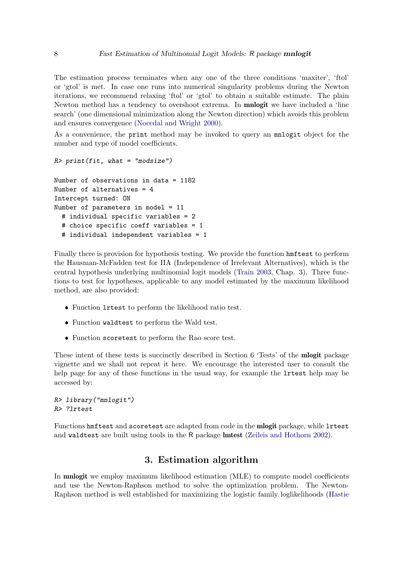The estimation process terminates when any one of the three conditions 'maxiter', 'ftol' or 'gtol' is met. In case one runs into numerical singularity problems during the Newton iterations, we recommend relaxing 'ftol' or 'gtol' to obtain a suitable estimate. The plain Newton method has a tendency to overshoot extrema. In **mnlogit** we have included a 'line search' (one dimensional minimization along the Newton direction) which avoids this problem and ensures convergence [\(Nocedal and Wright](#page-22-9) [2000\)](#page-22-9).

As a convenience, the print method may be invoked to query an mnlogit object for the number and type of model coefficients.

```
R> print(fit, what = "modsize")
Number of observations in data = 1182
Number of alternatives = 4
Intercept turned: ON
Number of parameters in model = 11
  # individual specific variables = 2
  # choice specific coeff variables = 1
  # individual independent variables = 1
```
Finally there is provision for hypothesis testing. We provide the function hmftest to perform the Hausman-McFadden test for IIA (Independence of Irrelevant Alternatives), which is the central hypothesis underlying multinomial logit models [\(Train](#page-22-0) [2003,](#page-22-0) Chap. 3). Three functions to test for hypotheses, applicable to any model estimated by the maximum likelihood method, are also provided:

- Function lrtest to perform the likelihood ratio test.
- Function waldtest to perform the Wald test.
- Function scoretest to perform the Rao score test.

These intent of these tests is succinctly described in Section 6 'Tests' of the **mlogit** package vignette and we shall not repeat it here. We encourage the interested user to consult the help page for any of these functions in the usual way, for example the lrtest help may be accessed by:

R> library("mnlogit") R> ?lrtest

Functions hmftest and scoretest are adapted from code in the **mlogit** package, while lrtest and waldtest are built using tools in the R package lmtest [\(Zeileis and Hothorn](#page-22-10) [2002\)](#page-22-10).

## 3. Estimation algorithm

<span id="page-7-0"></span>In mnlogit we employ maximum likelihood estimation (MLE) to compute model coefficients and use the Newton-Raphson method to solve the optimization problem. The Newton-Raphson method is well established for maximizing the logistic family loglikelihoods [\(Hastie](#page-21-2)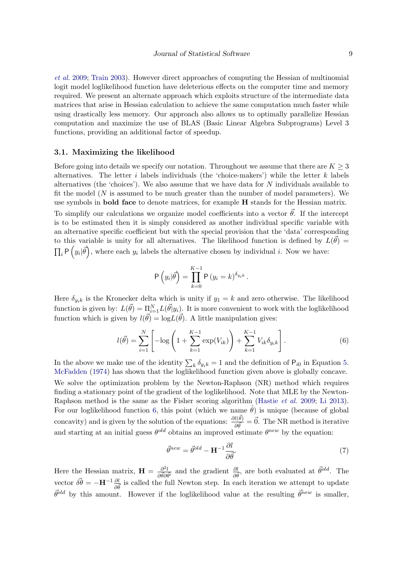[et al.](#page-21-2) [2009;](#page-21-2) [Train](#page-22-0) [2003\)](#page-22-0). However direct approaches of computing the Hessian of multinomial logit model loglikelihood function have deleterious effects on the computer time and memory required. We present an alternate approach which exploits structure of the intermediate data matrices that arise in Hessian calculation to achieve the same computation much faster while using drastically less memory. Our approach also allows us to optimally parallelize Hessian computation and maximize the use of BLAS (Basic Linear Algebra Subprograms) Level 3 functions, providing an additional factor of speedup.

#### 3.1. Maximizing the likelihood

Before going into details we specify our notation. Throughout we assume that there are  $K \geq 3$ alternatives. The letter i labels individuals (the 'choice-makers') while the letter k labels alternatives (the 'choices'). We also assume that we have data for  $N$  individuals available to fit the model  $(N$  is assumed to be much greater than the number of model parameters). We use symbols in bold face to denote matrices, for example H stands for the Hessian matrix.

To simplify our calculations we organize model coefficients into a vector  $\vec{\theta}$ . If the intercept is to be estimated then it is simply considered as another individual specific variable with an alternative specific coefficient but with the special provision that the 'data' corresponding to this variable is unity for all alternatives. The likelihood function is defined by  $L(\vec{\theta}) =$  $\prod_i P(y_i|\vec{\theta})$ , where each  $y_i$  labels the alternative chosen by individual i. Now we have:

<span id="page-8-0"></span>
$$
P(y_i|\vec{\theta}) = \prod_{k=0}^{K-1} P(y_i = k)^{\delta_{y_i k}}.
$$

Here  $\delta_{y_i k}$  is the Kronecker delta which is unity if  $y_1 = k$  and zero otherwise. The likelihood function is given by:  $L(\vec{\theta}) = \prod_{i=1}^{N} L(\vec{\theta}|y_i)$ . It is more convenient to work with the loglikelihood function which is given by  $l(\vec{\theta}) = \log L(\vec{\theta})$ . A little manipulation gives:

$$
l(\vec{\theta}) = \sum_{i=1}^{N} \left[ -\log \left( 1 + \sum_{k=1}^{K-1} \exp(V_{ik}) \right) + \sum_{k=1}^{K-1} V_{ik} \delta_{y_{ik}} \right].
$$
 (6)

In the above we make use of the identity  $\sum_{k} \delta_{y_i k} = 1$  and the definition of  $P_{i0}$  in Equation [5.](#page-4-2) [McFadden](#page-21-0) [\(1974\)](#page-21-0) has shown that the loglikelihood function given above is globally concave.

We solve the optimization problem by the Newton-Raphson (NR) method which requires finding a stationary point of the gradient of the loglikelihood. Note that MLE by the Newton-Raphson method is the same as the Fisher scoring algorithm [\(Hastie](#page-21-2) et al. [2009;](#page-21-2) [Li](#page-21-10) [2013\)](#page-21-10). For our loglikelihood function [6,](#page-8-0) this point (which we name  $\hat{\theta}$ ) is unique (because of global concavity) and is given by the solution of the equations:  $\frac{\partial l(\vec{\theta})}{\partial \vec{\theta}} = \vec{0}$ . The NR method is iterative and starting at an initial guess  $\theta^{old}$  obtains an improved estimate  $\theta^{new}$  by the equation:

<span id="page-8-1"></span>
$$
\vec{\theta}^{new} = \vec{\theta}^{old} - \mathbf{H}^{-1} \frac{\partial l}{\partial \vec{\theta}}.
$$
\n(7)

Here the Hessian matrix,  $\mathbf{H} = \frac{\partial^2 l}{\partial \vec{\theta} \partial \vec{\theta'}}$  and the gradient  $\frac{\partial l}{\partial \vec{\theta}}$ , are both evaluated at  $\vec{\theta}^{old}$ . The vector  $\vec{\delta\theta} = -H^{-1}\frac{\partial l}{\partial \vec{\theta}}$  is called the full Newton step. In each iteration we attempt to update  $\vec{\theta}^{old}$  by this amount. However if the loglikelihood value at the resulting  $\vec{\theta}^{new}$  is smaller,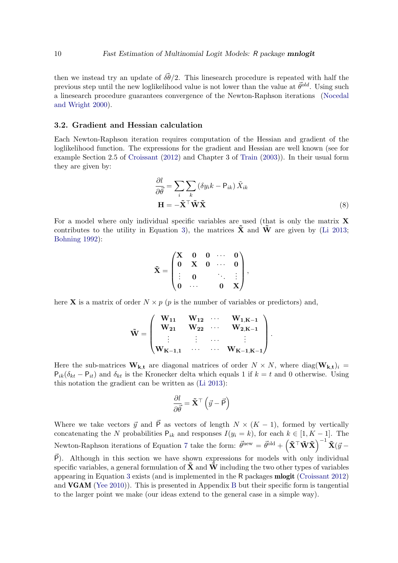then we instead try an update of  $\vec{\delta\theta}/2$ . This linesearch procedure is repeated with half the previous step until the new loglikelihood value is not lower than the value at  $\vec{\theta}^{old}$ . Using such a linesearch procedure guarantees convergence of the Newton-Raphson iterations [\(Nocedal](#page-22-9) [and Wright](#page-22-9) [2000\)](#page-22-9).

#### <span id="page-9-0"></span>3.2. Gradient and Hessian calculation

Each Newton-Raphson iteration requires computation of the Hessian and gradient of the loglikelihood function. The expressions for the gradient and Hessian are well known (see for example Section 2.5 of [Croissant](#page-21-9) [\(2012\)](#page-21-9) and Chapter 3 of [Train](#page-22-0) [\(2003\)](#page-22-0)). In their usual form they are given by:

$$
\frac{\partial l}{\partial \vec{\theta}} = \sum_{i} \sum_{k} \left( \delta y_{i} k - \mathsf{P}_{ik} \right) \tilde{X}_{ik}
$$

$$
\mathbf{H} = -\tilde{\mathbf{X}}^{\top} \tilde{\mathbf{W}} \tilde{\mathbf{X}} \tag{8}
$$

For a model where only individual specific variables are used (that is only the matrix  $X$ contributes to the utility in Equation [3\)](#page-4-1), the matrices  $\tilde{\mathbf{X}}$  and  $\tilde{\mathbf{W}}$  are given by [\(Li](#page-21-10) [2013;](#page-21-10) [Bohning](#page-21-11) [1992\)](#page-21-11):

$$
\tilde{\mathbf{X}} = \begin{pmatrix} \mathbf{X} & \mathbf{0} & \mathbf{0} & \cdots & \mathbf{0} \\ \mathbf{0} & \mathbf{X} & \mathbf{0} & \cdots & \mathbf{0} \\ \vdots & \mathbf{0} & & \ddots & \vdots \\ \mathbf{0} & \cdots & & \mathbf{0} & \mathbf{X} \end{pmatrix},
$$

here **X** is a matrix of order  $N \times p$  (p is the number of variables or predictors) and,

$$
\tilde{\mathbf{W}} = \begin{pmatrix} \mathbf{W}_{11} & \mathbf{W}_{12} & \cdots & \mathbf{W}_{1,K-1} \\ \mathbf{W}_{21} & \mathbf{W}_{22} & \cdots & \mathbf{W}_{2,K-1} \\ \vdots & \vdots & \cdots & \vdots \\ \mathbf{W}_{K-1,1} & \cdots & \cdots & \mathbf{W}_{K-1,K-1} \end{pmatrix}.
$$

Here the sub-matrices  $W_{k,t}$  are diagonal matrices of order  $N \times N$ , where diag $(W_{k,t})_i =$  $P_{ik}(\delta_{kt} - P_{it})$  and  $\delta_{kt}$  is the Kronecker delta which equals 1 if  $k = t$  and 0 otherwise. Using this notation the gradient can be written as [\(Li](#page-21-10) [2013\)](#page-21-10):

$$
\frac{\partial l}{\partial \vec{\theta}} = \tilde{\mathbf{X}}^{\top} \left( \vec{y} - \vec{\mathsf{P}} \right)
$$

Where we take vectors  $\vec{y}$  and  $\vec{P}$  as vectors of length  $N \times (K - 1)$ , formed by vertically concatenating the N probabilities  $P_{ik}$  and responses  $I(y_i = k)$ , for each  $k \in [1, K - 1]$ . The Newton-Raphson iterations of Equation [7](#page-8-1) take the form:  $\vec{\theta}^{\text{new}} = \vec{\theta}^{\text{old}} + \left(\tilde{\mathbf{X}}^{\top} \tilde{\mathbf{W}} \tilde{\mathbf{X}}\right)^{-1} \tilde{\mathbf{X}}(\vec{y} - \vec{\theta})$  $\vec{P}$ ). Although in this section we have shown expressions for models with only individual specific variables, a general formulation of  $\hat{\mathbf{X}}$  and  $\hat{\mathbf{W}}$  including the two other types of variables

appearing in Equation [3](#page-4-1) exists (and is implemented in the R packages mlogit [\(Croissant](#page-21-9) [2012\)](#page-21-9) and VGAM [\(Yee](#page-22-4) [2010\)](#page-22-4)). This is presented in Appendix [B](#page-17-0) but their specific form is tangential to the larger point we make (our ideas extend to the general case in a simple way).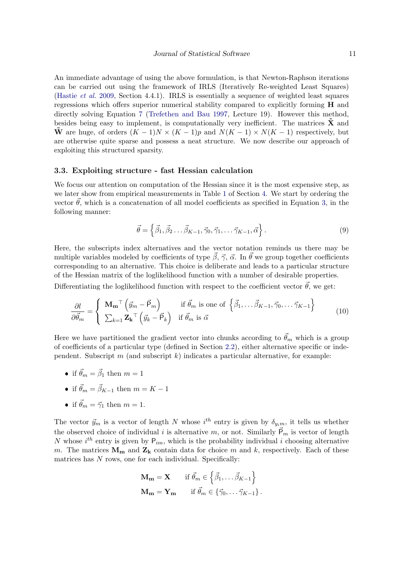An immediate advantage of using the above formulation, is that Newton-Raphson iterations can be carried out using the framework of IRLS (Iteratively Re-weighted Least Squares) [\(Hastie](#page-21-2) et al. [2009,](#page-21-2) Section 4.4.1). IRLS is essentially a sequence of weighted least squares regressions which offers superior numerical stability compared to explicitly forming  $H$  and directly solving Equation [7](#page-8-1) [\(Trefethen and Bau](#page-22-11) [1997,](#page-22-11) Lecture 19). However this method, besides being easy to implement, is computationally very inefficient. The matrices  $\tilde{\mathbf{X}}$  and  $\tilde{\mathbf{W}}$  are huge, of orders  $(K-1)N \times (K-1)p$  and  $N(K-1) \times N(K-1)$  respectively, but are otherwise quite sparse and possess a neat structure. We now describe our approach of exploiting this structured sparsity.

#### <span id="page-10-1"></span>3.3. Exploiting structure - fast Hessian calculation

We focus our attention on computation of the Hessian since it is the most expensive step, as we later show from empirical measurements in Table [1](#page-13-0) of Section [4.](#page-12-0) We start by ordering the vector  $\vec{\theta}$ , which is a concatenation of all model coefficients as specified in Equation [3,](#page-4-1) in the following manner:

<span id="page-10-0"></span>
$$
\vec{\theta} = \left\{ \vec{\beta}_1, \vec{\beta}_2 \dots \vec{\beta}_{K-1}, \vec{\gamma}_0, \vec{\gamma}_1, \dots \vec{\gamma}_{K-1}, \vec{\alpha} \right\}.
$$
\n(9)

Here, the subscripts index alternatives and the vector notation reminds us there may be multiple variables modeled by coefficients of type  $\vec{\beta}$ ,  $\vec{\gamma}$ ,  $\vec{\alpha}$ . In  $\vec{\theta}$  we group together coefficients corresponding to an alternative. This choice is deliberate and leads to a particular structure of the Hessian matrix of the loglikelihood function with a number of desirable properties.

Differentiating the loglikelihood function with respect to the coefficient vector  $\vec{\theta}$ , we get:

$$
\frac{\partial l}{\partial \vec{\theta}_m} = \begin{cases} \mathbf{M_m}^\top \left( \vec{y}_m - \vec{P}_m \right) & \text{if } \vec{\theta}_m \text{ is one of } \left\{ \vec{\beta}_1, \dots, \vec{\beta}_{K-1}, \vec{\gamma}_0, \dots, \vec{\gamma}_{K-1} \right\} \\ \sum_{k=1}^{\top} \mathbf{Z_k}^\top \left( \vec{y}_k - \vec{P}_k \right) & \text{if } \vec{\theta}_m \text{ is } \vec{\alpha} \end{cases}
$$
(10)

Here we have partitioned the gradient vector into chunks according to  $\vec{\theta}_m$  which is a group of coefficients of a particular type (defined in Section [2.2\)](#page-3-0), either alternative specific or independent. Subscript  $m$  (and subscript  $k$ ) indicates a particular alternative, for example:

- if  $\vec{\theta}_m = \vec{\beta}_1$  then  $m = 1$
- if  $\vec{\theta}_m = \vec{\beta}_{K-1}$  then  $m = K 1$
- if  $\vec{\theta}_m = \vec{\gamma}_1$  then  $m = 1$ .

The vector  $\vec{y}_m$  is a vector of length N whose i<sup>th</sup> entry is given by  $\delta_{y_i m}$ , it tells us whether the observed choice of individual i is alternative m, or not. Similarly  $\vec{P}_m$  is vector of length N whose  $i^{th}$  entry is given by  $P_{im}$ , which is the probability individual i choosing alternative m. The matrices  $M_m$  and  $Z_k$  contain data for choice m and k, respectively. Each of these matrices has  $N$  rows, one for each individual. Specifically:

$$
\mathbf{M_m} = \mathbf{X} \quad \text{if } \vec{\theta}_m \in \left\{ \vec{\beta}_1, \dots, \vec{\beta}_{K-1} \right\} \n\mathbf{M_m} = \mathbf{Y_m} \quad \text{if } \vec{\theta}_m \in \left\{ \vec{\gamma}_0, \dots, \vec{\gamma}_{K-1} \right\}.
$$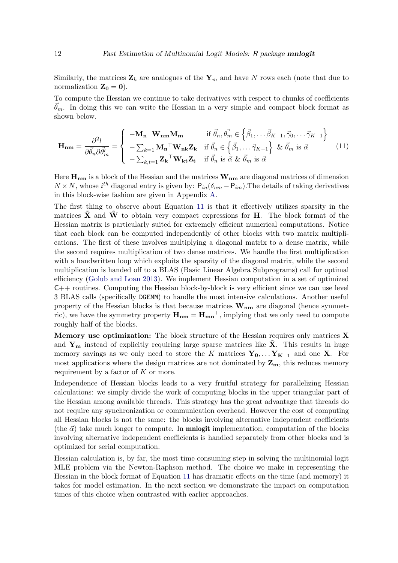Similarly, the matrices  $\mathbf{Z}_k$  are analogues of the  $\mathbf{Y}_m$  and have N rows each (note that due to normalization  $\mathbf{Z}_0 = 0$ ).

To compute the Hessian we continue to take derivatives with respect to chunks of coefficients  $\dot{\theta}_m$ . In doing this we can write the Hessian in a very simple and compact block format as shown below.

<span id="page-11-0"></span>
$$
\mathbf{H}_{\mathbf{nm}} = \frac{\partial^2 l}{\partial \vec{\theta}_n \partial \vec{\theta}'_m} = \begin{cases}\n-\mathbf{M}_{\mathbf{n}}^\top \mathbf{W}_{\mathbf{nm}} \mathbf{M}_{\mathbf{m}} & \text{if } \vec{\theta}_n, \vec{\theta}_m \in \left\{ \vec{\beta}_1, \dots, \vec{\beta}_{K-1}, \vec{\gamma}_0, \dots, \vec{\gamma}_{K-1} \right\} \\
-\sum_{k=1}^{\infty} \mathbf{M}_{\mathbf{n}}^\top \mathbf{W}_{\mathbf{n}k} \mathbf{Z}_{\mathbf{k}} & \text{if } \vec{\theta}_n \in \left\{ \vec{\beta}_1, \dots, \vec{\gamma}_{K-1} \right\} \& \vec{\theta}_m \text{ is } \vec{\alpha} \\
-\sum_{k,t=1}^{\infty} \mathbf{Z}_{\mathbf{k}}^\top \mathbf{W}_{\mathbf{k}t} \mathbf{Z}_{\mathbf{t}} & \text{if } \vec{\theta}_n \text{ is } \vec{\alpha} \& \vec{\theta}_m \text{ is } \vec{\alpha}\n\end{cases}
$$
\n(11)

Here  $H_{nm}$  is a block of the Hessian and the matrices  $W_{nm}$  are diagonal matrices of dimension  $N \times N$ , whose i<sup>th</sup> diagonal entry is given by:  $P_{in}(\delta_{nm} - P_{im})$ . The details of taking derivatives in this block-wise fashion are given in Appendix [A.](#page-16-0)

The first thing to observe about Equation [11](#page-11-0) is that it effectively utilizes sparsity in the matrices  $\tilde{\mathbf{X}}$  and  $\tilde{\mathbf{W}}$  to obtain very compact expressions for **H**. The block format of the Hessian matrix is particularly suited for extremely efficient numerical computations. Notice that each block can be computed independently of other blocks with two matrix multiplications. The first of these involves multiplying a diagonal matrix to a dense matrix, while the second requires multiplication of two dense matrices. We handle the first multiplication with a handwritten loop which exploits the sparsity of the diagonal matrix, while the second multiplication is handed off to a BLAS (Basic Linear Algebra Subprograms) call for optimal efficiency [\(Golub and Loan](#page-21-12) [2013\)](#page-21-12). We implement Hessian computation in a set of optimized C++ routines. Computing the Hessian block-by-block is very efficient since we can use level 3 BLAS calls (specifically DGEMM) to handle the most intensive calculations. Another useful property of the Hessian blocks is that because matrices  $\mathbf{W}_{nm}$  are diagonal (hence symmetric), we have the symmetry property  $H_{nm} = H_{mn}^{\quad \top}$ , implying that we only need to compute roughly half of the blocks.

**Memory use optimization:** The block structure of the Hessian requires only matrices  $\bf{X}$ and  $Y_m$  instead of explicitly requiring large sparse matrices like  $\tilde{X}$ . This results in huge memory savings as we only need to store the K matrices  $Y_0, \ldots Y_{K-1}$  and one X. For most applications where the design matrices are not dominated by  $\mathbf{Z}_{\mathbf{m}}$ , this reduces memory requirement by a factor of  $K$  or more.

Independence of Hessian blocks leads to a very fruitful strategy for parallelizing Hessian calculations: we simply divide the work of computing blocks in the upper triangular part of the Hessian among available threads. This strategy has the great advantage that threads do not require any synchronization or communication overhead. However the cost of computing all Hessian blocks is not the same: the blocks involving alternative independent coefficients (the  $\vec{\alpha}$ ) take much longer to compute. In **mnlogit** implementation, computation of the blocks involving alternative independent coefficients is handled separately from other blocks and is optimized for serial computation.

Hessian calculation is, by far, the most time consuming step in solving the multinomial logit MLE problem via the Newton-Raphson method. The choice we make in representing the Hessian in the block format of Equation [11](#page-11-0) has dramatic effects on the time (and memory) it takes for model estimation. In the next section we demonstrate the impact on computation times of this choice when contrasted with earlier approaches.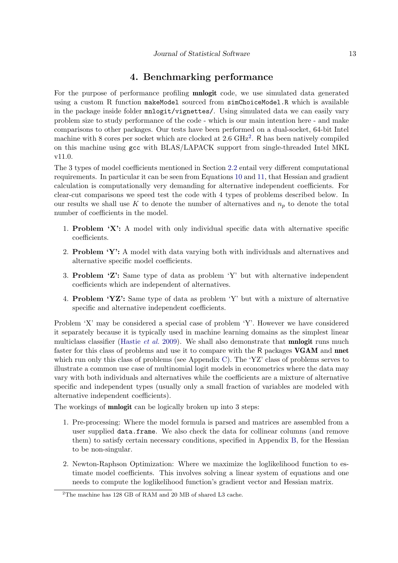## 4. Benchmarking performance

<span id="page-12-0"></span>For the purpose of performance profiling mnlogit code, we use simulated data generated using a custom R function makeModel sourced from simChoiceModel.R which is available in the package inside folder mnlogit/vignettes/. Using simulated data we can easily vary problem size to study performance of the code - which is our main intention here - and make comparisons to other packages. Our tests have been performed on a dual-socket, 64-bit Intel machine with 8 cores per socket which are clocked at [2](#page-12-1).6 GHz<sup>2</sup>. R has been natively compiled on this machine using gcc with BLAS/LAPACK support from single-threaded Intel MKL v11.0.

The 3 types of model coefficients mentioned in Section [2.2](#page-3-0) entail very different computational requirements. In particular it can be seen from Equations [10](#page-10-0) and [11,](#page-11-0) that Hessian and gradient calculation is computationally very demanding for alternative independent coefficients. For clear-cut comparisons we speed test the code with 4 types of problems described below. In our results we shall use K to denote the number of alternatives and  $n_p$  to denote the total number of coefficients in the model.

- 1. Problem 'X': A model with only individual specific data with alternative specific coefficients.
- 2. Problem 'Y': A model with data varying both with individuals and alternatives and alternative specific model coefficients.
- 3. Problem 'Z': Same type of data as problem 'Y' but with alternative independent coefficients which are independent of alternatives.
- 4. Problem 'YZ': Same type of data as problem 'Y' but with a mixture of alternative specific and alternative independent coefficients.

Problem 'X' may be considered a special case of problem 'Y'. However we have considered it separately because it is typically used in machine learning domains as the simplest linear multiclass classifier [\(Hastie](#page-21-2) *et al.* [2009\)](#page-21-2). We shall also demonstrate that **mnlogit** runs much faster for this class of problems and use it to compare with the R packages VGAM and nnet which run only this class of problems (see Appendix [C\)](#page-18-0). The 'YZ' class of problems serves to illustrate a common use case of multinomial logit models in econometrics where the data may vary with both individuals and alternatives while the coefficients are a mixture of alternative specific and independent types (usually only a small fraction of variables are modeled with alternative independent coefficients).

The workings of **mnlogit** can be logically broken up into 3 steps:

- 1. Pre-processing: Where the model formula is parsed and matrices are assembled from a user supplied data.frame. We also check the data for collinear columns (and remove them) to satisfy certain necessary conditions, specified in Appendix [B,](#page-17-0) for the Hessian to be non-singular.
- 2. Newton-Raphson Optimization: Where we maximize the loglikelihood function to estimate model coefficients. This involves solving a linear system of equations and one needs to compute the loglikelihood function's gradient vector and Hessian matrix.

<span id="page-12-1"></span><sup>&</sup>lt;sup>2</sup>The machine has 128 GB of RAM and 20 MB of shared L3 cache.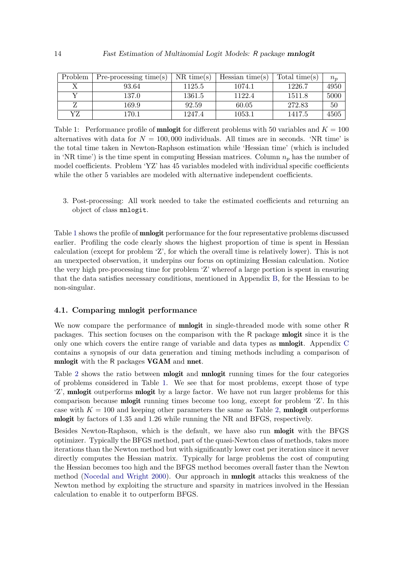| Problem | $Pre-processing time(s)$ | $NR$ time(s) | Hessian time(s) | Total time(s) | $n_p$ |
|---------|--------------------------|--------------|-----------------|---------------|-------|
|         | 93.64                    | 1125.5       | 1074.1          | 1226.7        | 4950  |
|         | 137.0                    | 1361.5       | 1122.4          | 1511.8        | 5000  |
|         | 169.9                    | 92.59        | 60.05           | 272.83        | 50    |
| YZ      | 170.1                    | 1247.4       | 1053.1          | 1417.5        | 4505  |

<span id="page-13-0"></span>Table 1: Performance profile of **mnlogit** for different problems with 50 variables and  $K = 100$ alternatives with data for  $N = 100,000$  individuals. All times are in seconds. 'NR time' is the total time taken in Newton-Raphson estimation while 'Hessian time' (which is included in 'NR time') is the time spent in computing Hessian matrices. Column  $n_p$  has the number of model coefficients. Problem 'YZ' has 45 variables modeled with individual specific coefficients while the other 5 variables are modeled with alternative independent coefficients.

3. Post-processing: All work needed to take the estimated coefficients and returning an object of class mnlogit.

Table [1](#page-13-0) shows the profile of **mnlogit** performance for the four representative problems discussed earlier. Profiling the code clearly shows the highest proportion of time is spent in Hessian calculation (except for problem 'Z', for which the overall time is relatively lower). This is not an unexpected observation, it underpins our focus on optimizing Hessian calculation. Notice the very high pre-processing time for problem 'Z' whereof a large portion is spent in ensuring that the data satisfies necessary conditions, mentioned in Appendix [B,](#page-17-0) for the Hessian to be non-singular.

#### 4.1. Comparing mnlogit performance

We now compare the performance of **mnlogit** in single-threaded mode with some other R packages. This section focuses on the comparison with the R package mlogit since it is the only one which covers the entire range of variable and data types as mnlogit. Appendix [C](#page-18-0) contains a synopsis of our data generation and timing methods including a comparison of mnlogit with the R packages VGAM and nnet.

Table [2](#page-14-0) shows the ratio between **mlogit** and **mnlogit** running times for the four categories of problems considered in Table [1.](#page-13-0) We see that for most problems, except those of type 'Z', **mnlogit** outperforms **mlogit** by a large factor. We have not run larger problems for this comparison because mlogit running times become too long, except for problem 'Z'. In this case with  $K = 100$  and keeping other parameters the same as Table [2,](#page-14-0) **mnlogit** outperforms mlogit by factors of 1.35 and 1.26 while running the NR and BFGS, respectively.

Besides Newton-Raphson, which is the default, we have also run mlogit with the BFGS optimizer. Typically the BFGS method, part of the quasi-Newton class of methods, takes more iterations than the Newton method but with significantly lower cost per iteration since it never directly computes the Hessian matrix. Typically for large problems the cost of computing the Hessian becomes too high and the BFGS method becomes overall faster than the Newton method [\(Nocedal and Wright](#page-22-9) [2000\)](#page-22-9). Our approach in mnlogit attacks this weakness of the Newton method by exploiting the structure and sparsity in matrices involved in the Hessian calculation to enable it to outperform BFGS.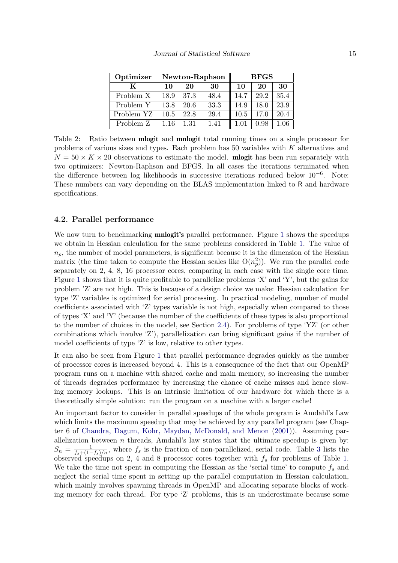| Optimizer  | Newton-Raphson |      |      | <b>BFGS</b> |      |          |
|------------|----------------|------|------|-------------|------|----------|
| K          | 10             | 20   | 30   | 10          | 20   | 30       |
| Problem X  | 18.9           | 37.3 | 48.4 | 14.7        | 29.2 | 35.4     |
| Problem Y  | 13.8           | 20.6 | 33.3 | 14.9        | 18.0 | 23.9     |
| Problem YZ | 10.5           | 22.8 | 29.4 | 10.5        | 17.0 | 20.4     |
| Problem Z  | $1.16\,$       | 1.31 | 1.41 | 1.01        | 0.98 | $1.06\,$ |

<span id="page-14-0"></span>Table 2: Ratio between mlogit and mnlogit total running times on a single processor for problems of various sizes and types. Each problem has 50 variables with K alternatives and  $N = 50 \times K \times 20$  observations to estimate the model. **mogit** has been run separately with two optimizers: Newton-Raphson and BFGS. In all cases the iterations terminated when the difference between log likelihoods in successive iterations reduced below 10−<sup>6</sup> . Note: These numbers can vary depending on the BLAS implementation linked to R and hardware specifications.

#### 4.2. Parallel performance

We now turn to benchmarking **mnlogit's** parallel performance. Figure [1](#page-15-1) shows the speedups we obtain in Hessian calculation for the same problems considered in Table [1.](#page-13-0) The value of  $n_p$ , the number of model parameters, is significant because it is the dimension of the Hessian matrix (the time taken to compute the Hessian scales like  $O(n_p^2)$ ). We run the parallel code separately on 2, 4, 8, 16 processor cores, comparing in each case with the single core time. Figure [1](#page-15-1) shows that it is quite profitable to parallelize problems 'X' and 'Y', but the gains for problem 'Z' are not high. This is because of a design choice we make: Hessian calculation for type 'Z' variables is optimized for serial processing. In practical modeling, number of model coefficients associated with 'Z' types variable is not high, especially when compared to those of types 'X' and 'Y' (because the number of the coefficients of these types is also proportional to the number of choices in the model, see Section [2.4\)](#page-5-0). For problems of type 'YZ' (or other combinations which involve 'Z'), parallelization can bring significant gains if the number of model coefficients of type 'Z' is low, relative to other types.

It can also be seen from Figure [1](#page-15-1) that parallel performance degrades quickly as the number of processor cores is increased beyond 4. This is a consequence of the fact that our OpenMP program runs on a machine with shared cache and main memory, so increasing the number of threads degrades performance by increasing the chance of cache misses and hence slowing memory lookups. This is an intrinsic limitation of our hardware for which there is a theoretically simple solution: run the program on a machine with a larger cache!

An important factor to consider in parallel speedups of the whole program is Amdahl's Law which limits the maximum speedup that may be achieved by any parallel program (see Chapter 6 of [Chandra, Dagum, Kohr, Maydan, McDonald, and Menon](#page-21-13) [\(2001\)](#page-21-13)). Assuming parallelization between  $n$  threads, Amdahl's law states that the ultimate speedup is given by:  $S_n = \frac{1}{f_s + (1 - f_s)/n}$ , where  $f_s$  is the fraction of non-parallelized, serial code. Table [3](#page-16-1) lists the observed speedups on 2, 4 and 8 processor cores together with  $f_s$  for problems of Table [1.](#page-13-0) We take the time not spent in computing the Hessian as the 'serial time' to compute  $f_s$  and neglect the serial time spent in setting up the parallel computation in Hessian calculation, which mainly involves spawning threads in OpenMP and allocating separate blocks of working memory for each thread. For type 'Z' problems, this is an underestimate because some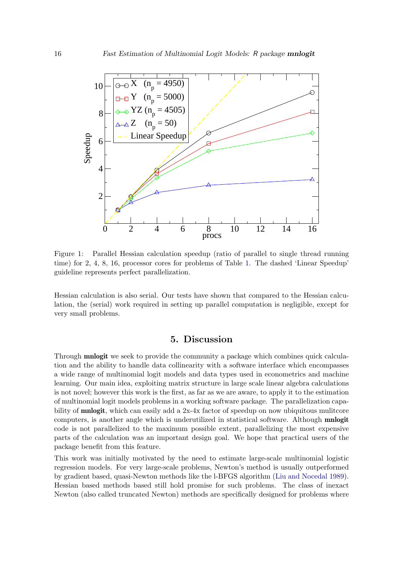

<span id="page-15-1"></span>Figure 1: Parallel Hessian calculation speedup (ratio of parallel to single thread running time) for 2, 4, 8, 16, processor cores for problems of Table [1.](#page-13-0) The dashed 'Linear Speedup' guideline represents perfect parallelization.

Hessian calculation is also serial. Our tests have shown that compared to the Hessian calculation, the (serial) work required in setting up parallel computation is negligible, except for very small problems.

## 5. Discussion

<span id="page-15-0"></span>Through **mnlogit** we seek to provide the community a package which combines quick calculation and the ability to handle data collinearity with a software interface which encompasses a wide range of multinomial logit models and data types used in econometrics and machine learning. Our main idea, exploiting matrix structure in large scale linear algebra calculations is not novel; however this work is the first, as far as we are aware, to apply it to the estimation of multinomial logit models problems in a working software package. The parallelization capability of **mnlogit**, which can easily add a 2x-4x factor of speedup on now ubiquitous mulitcore computers, is another angle which is underutilized in statistical software. Although mnlogit code is not parallelized to the maximum possible extent, parallelizing the most expensive parts of the calculation was an important design goal. We hope that practical users of the package benefit from this feature.

This work was initially motivated by the need to estimate large-scale multinomial logistic regression models. For very large-scale problems, Newton's method is usually outperformed by gradient based, quasi-Newton methods like the l-BFGS algorithm [\(Liu and Nocedal](#page-21-14) [1989\)](#page-21-14). Hessian based methods based still hold promise for such problems. The class of inexact Newton (also called truncated Newton) methods are specifically designed for problems where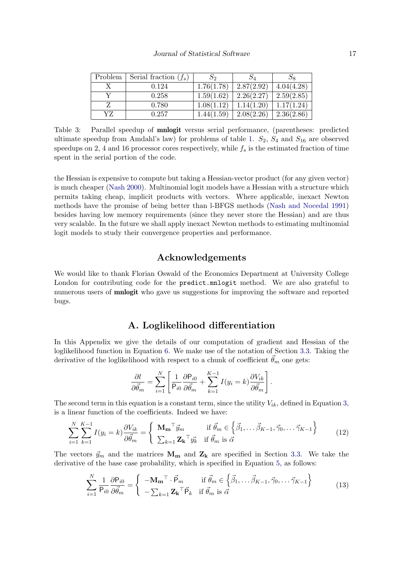| Problem | Serial fraction $(f_s)$ | $S_2$      |            |            |
|---------|-------------------------|------------|------------|------------|
|         | 0.124                   | 1.76(1.78) | 2.87(2.92) | 4.04(4.28) |
|         | 0.258                   | 1.59(1.62) | 2.26(2.27) | 2.59(2.85) |
|         | 0.780                   | 1.08(1.12) | 1.14(1.20) | 1.17(1.24) |
| YZ      | 0.257                   | 1.44(1.59) | 2.08(2.26) | 2.36(2.86) |

<span id="page-16-1"></span>Table 3: Parallel speedup of mnlogit versus serial performance, (parentheses: predicted ultimate speedup from Amdahl's law) for problems of table [1.](#page-13-0)  $S_2$ ,  $S_4$  and  $S_{16}$  are observed speedups on 2, 4 and 16 processor cores respectively, while  $f_s$  is the estimated fraction of time spent in the serial portion of the code.

the Hessian is expensive to compute but taking a Hessian-vector product (for any given vector) is much cheaper [\(Nash](#page-21-15) [2000\)](#page-21-15). Multinomial logit models have a Hessian with a structure which permits taking cheap, implicit products with vectors. Where applicable, inexact Newton methods have the promise of being better than l-BFGS methods [\(Nash and Nocedal](#page-21-16) [1991\)](#page-21-16) besides having low memory requirements (since they never store the Hessian) and are thus very scalable. In the future we shall apply inexact Newton methods to estimating multinomial logit models to study their convergence properties and performance.

## Acknowledgements

We would like to thank Florian Oswald of the Economics Department at University College London for contributing code for the predict.mnlogit method. We are also grateful to numerous users of **mnlogit** who gave us suggestions for improving the software and reported bugs.

## A. Loglikelihood differentiation

<span id="page-16-0"></span>In this Appendix we give the details of our computation of gradient and Hessian of the loglikelihood function in Equation [6.](#page-8-0) We make use of the notation of Section [3.3.](#page-10-1) Taking the derivative of the loglikelihood with respect to a chunk of coefficient  $\theta_m$  one gets:

<span id="page-16-3"></span><span id="page-16-2"></span>
$$
\frac{\partial l}{\partial \vec{\theta}_m} = \sum_{i=1}^N \left[ \frac{1}{\mathsf{P}_{i0}} \frac{\partial \mathsf{P}_{i0}}{\partial \vec{\theta}_m} + \sum_{k=1}^{K-1} I(y_i = k) \frac{\partial V_{ik}}{\partial \vec{\theta}_m} \right].
$$

The second term in this equation is a constant term, since the utility  $V_{ik}$ , defined in Equation [3,](#page-4-1) is a linear function of the coefficients. Indeed we have:

$$
\sum_{i=1}^{N} \sum_{k=1}^{K-1} I(y_i = k) \frac{\partial V_{ik}}{\partial \vec{\theta}_m} = \begin{cases} \mathbf{M_m}^\top \vec{y}_m & \text{if } \vec{\theta}_m \in \left\{ \vec{\beta}_1, \dots, \vec{\beta}_{K-1}, \vec{\gamma}_0, \dots, \vec{\gamma}_{K-1} \right\} \\ \sum_{k=1}^{K-1} \mathbf{Z_k}^\top \vec{y}_k & \text{if } \vec{\theta}_m \text{ is } \vec{\alpha} \end{cases}
$$
(12)

The vectors  $\vec{y}_m$  and the matrices  $\mathbf{M}_m$  and  $\mathbf{Z}_k$  are specified in Section [3.3.](#page-10-1) We take the derivative of the base case probability, which is specified in Equation [5,](#page-4-2) as follows:

$$
\sum_{i=1}^{N} \frac{1}{\mathsf{P}_{i0}} \frac{\partial \mathsf{P}_{i0}}{\partial \vec{\theta}_{m}} = \begin{cases} -\mathbf{M_m}^\top \cdot \vec{\mathsf{P}}_m & \text{if } \vec{\theta}_m \in \left\{ \vec{\beta}_1, \dots, \vec{\beta}_{K-1}, \vec{\gamma}_0, \dots, \vec{\gamma}_{K-1} \right\} \\ -\sum_{k=1}^{K} \mathbf{Z_k}^\top \vec{\mathsf{P}}_k & \text{if } \vec{\theta}_m \text{ is } \vec{\alpha} \end{cases}
$$
(13)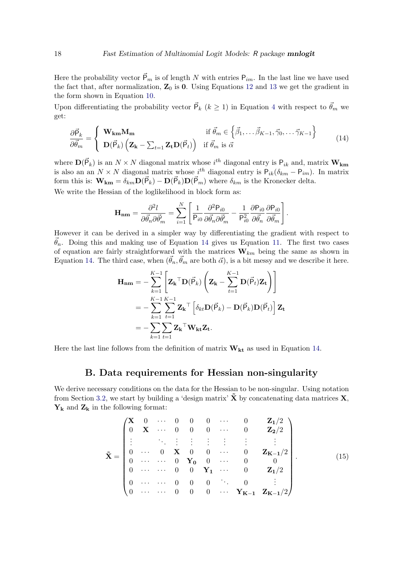Here the probability vector  $\vec{P}_m$  is of length N with entries  $P_{im}$ . In the last line we have used the fact that, after normalization,  $\mathbb{Z}_0$  is 0. Using Equations [12](#page-16-2) and [13](#page-16-3) we get the gradient in the form shown in Equation [10.](#page-10-0)

Upon differentiating the probability vector  $\vec{P}_k$  ( $k \ge 1$ ) in Equation [4](#page-4-3) with respect to  $\vec{\theta}_m$  we get:

$$
\frac{\partial \vec{\mathsf{P}}_k}{\partial \vec{\theta}_m} = \begin{cases} \mathbf{W}_{\mathbf{k}\mathbf{m}} \mathbf{M}_{\mathbf{m}} & \text{if } \vec{\theta}_m \in \left\{ \vec{\beta}_1, \dots, \vec{\beta}_{K-1}, \vec{\gamma}_0, \dots, \vec{\gamma}_{K-1} \right\} \\ \mathbf{D}(\vec{\mathsf{P}}_k) \left( \mathbf{Z}_{\mathbf{k}} - \sum_{t=1} \mathbf{Z}_{\mathbf{t}} \mathbf{D}(\vec{\mathsf{P}}_t) \right) & \text{if } \vec{\theta}_m \text{ is } \vec{\alpha} \end{cases}
$$
(14)

where  $\mathbf{D}(\vec{P}_k)$  is an  $N \times N$  diagonal matrix whose  $i^{th}$  diagonal entry is  $P_{ik}$  and, matrix  $\mathbf{W}_{km}$ is also an an  $N \times N$  diagonal matrix whose  $i^{th}$  diagonal entry is  $P_{ik}(\delta_{km} - P_{im})$ . In matrix form this is:  $\mathbf{W}_{\mathbf{km}} = \delta_{km} \mathbf{D}(\vec{P}_k) - \mathbf{D}(\vec{P}_k) \mathbf{D}(\vec{P}_m)$  where  $\delta_{km}$  is the Kronecker delta.

We write the Hessian of the loglikelihood in block form as:

<span id="page-17-1"></span>
$$
\mathbf{H}_{\mathbf{nm}} = \frac{\partial^2 l}{\partial \vec{\theta}_n \partial \vec{\theta}'_m} = \sum_{i=1}^N \left[ \frac{1}{P_{i0}} \frac{\partial^2 P_{i0}}{\partial \vec{\theta}_n \partial \vec{\theta}'_m} - \frac{1}{P_{i0}^2} \frac{\partial P_{i0}}{\partial \vec{\theta}_n} \frac{\partial P_{i0}}{\partial \vec{\theta}_m} \right].
$$

However it can be derived in a simpler way by differentiating the gradient with respect to  $\vec{\theta}_n$ . Doing this and making use of Equation [14](#page-17-1) gives us Equation [11.](#page-11-0) The first two cases of equation are fairly straightforward with the matrices  $W_{km}$  being the same as shown in Equation [14.](#page-17-1) The third case, when  $(\vec{\theta}_n, \vec{\theta}_m)$  are both  $\vec{\alpha}$ , is a bit messy and we describe it here.

$$
\mathbf{H}_{\mathbf{n}\mathbf{m}} = -\sum_{k=1}^{K-1} \left[ \mathbf{Z}_{\mathbf{k}}^{\top} \mathbf{D}(\vec{\mathsf{P}}_k) \left( \mathbf{Z}_{\mathbf{k}} - \sum_{t=1}^{K-1} \mathbf{D}(\vec{\mathsf{P}}_t) \mathbf{Z}_{\mathbf{t}} \right) \right]
$$
  
= -\sum\_{k=1}^{K-1} \sum\_{t=1}^{K-1} \mathbf{Z}\_{\mathbf{k}}^{\top} \left[ \delta\_{kt} \mathbf{D}(\vec{\mathsf{P}}\_k) - \mathbf{D}(\vec{\mathsf{P}}\_k) \mathbf{D}(\vec{\mathsf{P}}\_t) \right] \mathbf{Z}\_{\mathbf{t}}  
= -\sum\_{k=1}^{K-1} \sum\_{t=1}^{K-1} \mathbf{Z}\_{\mathbf{k}}^{\top} \mathbf{W}\_{\mathbf{k}\mathbf{t}} \mathbf{Z}\_{\mathbf{t}}.

Here the last line follows from the definition of matrix  $\mathbf{W}_{\mathbf{k}t}$  as used in Equation [14.](#page-17-1)

## B. Data requirements for Hessian non-singularity

<span id="page-17-0"></span>We derive necessary conditions on the data for the Hessian to be non-singular. Using notation from Section [3.2,](#page-9-0) we start by building a 'design matrix'  $\tilde{\mathbf{X}}$  by concatenating data matrices  $\mathbf{X}$ ,  $Y_k$  and  $Z_k$  in the following format:

$$
\tilde{\mathbf{X}} = \begin{pmatrix}\n\mathbf{X} & 0 & \cdots & 0 & 0 & 0 & \cdots & 0 & \mathbf{Z}_1/2 \\
0 & \mathbf{X} & \cdots & 0 & 0 & 0 & \cdots & 0 & \mathbf{Z}_2/2 \\
\vdots & \ddots & \vdots & \vdots & \vdots & \vdots & \vdots & \vdots \\
0 & \cdots & 0 & \mathbf{X} & 0 & 0 & \cdots & 0 & \mathbf{Z}_{K-1}/2 \\
0 & \cdots & \cdots & 0 & \mathbf{Y}_0 & 0 & \cdots & 0 & 0 \\
0 & \cdots & \cdots & 0 & 0 & \mathbf{Y}_1 & \cdots & 0 & \mathbf{Z}_1/2 \\
0 & \cdots & \cdots & 0 & 0 & 0 & \cdots & \mathbf{Y}_{K-1} & \mathbf{Z}_{K-1}/2\n\end{pmatrix}.
$$
\n(15)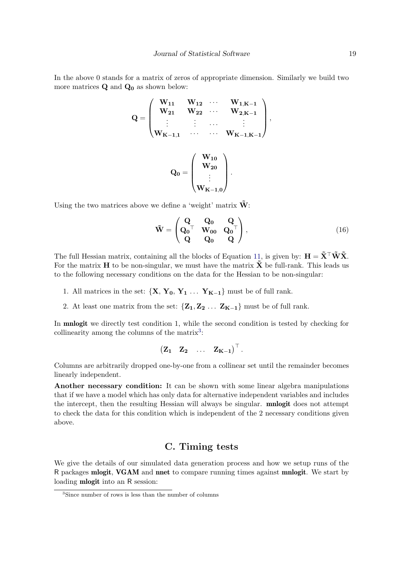In the above 0 stands for a matrix of zeros of appropriate dimension. Similarly we build two more matrices  $Q$  and  $Q_0$  as shown below:

$$
\mathbf{Q} = \begin{pmatrix} \mathbf{W}_{11} & \mathbf{W}_{12} & \cdots & \mathbf{W}_{1,K-1} \\ \mathbf{W}_{21} & \mathbf{W}_{22} & \cdots & \mathbf{W}_{2,K-1} \\ \vdots & \vdots & \cdots & \vdots \\ \mathbf{W}_{K-1,1} & \cdots & \cdots & \mathbf{W}_{K-1,K-1} \end{pmatrix},
$$

$$
\mathbf{Q}_0 = \begin{pmatrix} \mathbf{W}_{10} \\ \mathbf{W}_{20} \\ \vdots \\ \mathbf{W}_{K-1,0} \end{pmatrix}.
$$

Using the two matrices above we define a 'weight' matrix  $\tilde{\mathbf{W}}$ :

$$
\tilde{\mathbf{W}} = \begin{pmatrix} \mathbf{Q} & \mathbf{Q}_0 & \mathbf{Q} \\ \mathbf{Q}_0^\top & \mathbf{W}_{00} & \mathbf{Q}_0^\top \\ \mathbf{Q} & \mathbf{Q}_0 & \mathbf{Q} \end{pmatrix},\tag{16}
$$

The full Hessian matrix, containing all the blocks of Equation [11,](#page-11-0) is given by:  $\mathbf{H} = \tilde{\mathbf{X}}^{\top} \tilde{\mathbf{W}} \tilde{\mathbf{X}}$ . For the matrix  $H$  to be non-singular, we must have the matrix  $X$  be full-rank. This leads us to the following necessary conditions on the data for the Hessian to be non-singular:

- 1. All matrices in the set:  $\{X, Y_0, Y_1, \ldots, Y_{K-1}\}$  must be of full rank.
- 2. At least one matrix from the set:  $\{Z_1, Z_2, \ldots, Z_{K-1}\}\$  must be of full rank.

In **mnlogit** we directly test condition 1, while the second condition is tested by checking for collinearity among the columns of the matrix<sup>[3](#page-18-1)</sup>:

$$
\begin{pmatrix} Z_1 & Z_2 & \ldots & Z_{K-1} \end{pmatrix}^\top.
$$

Columns are arbitrarily dropped one-by-one from a collinear set until the remainder becomes linearly independent.

Another necessary condition: It can be shown with some linear algebra manipulations that if we have a model which has only data for alternative independent variables and includes the intercept, then the resulting Hessian will always be singular. mnlogit does not attempt to check the data for this condition which is independent of the 2 necessary conditions given above.

## C. Timing tests

<span id="page-18-0"></span>We give the details of our simulated data generation process and how we setup runs of the R packages mlogit, VGAM and nnet to compare running times against mnlogit. We start by loading mlogit into an R session:

<span id="page-18-1"></span><sup>3</sup>Since number of rows is less than the number of columns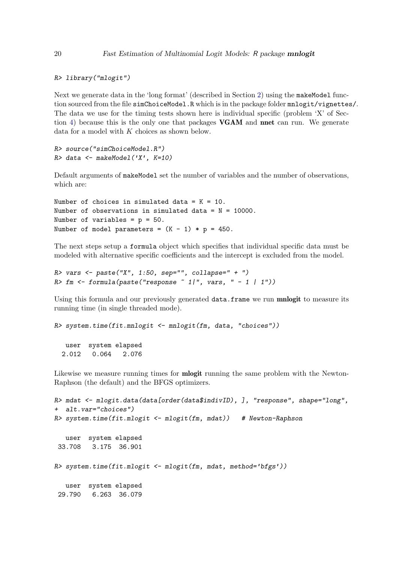R> library("mlogit")

Next we generate data in the 'long format' (described in Section [2\)](#page-2-0) using the makeModel function sourced from the file simChoiceModel.R which is in the package folder mnlogit/vignettes/. The data we use for the timing tests shown here is individual specific (problem 'X' of Section [4\)](#page-12-0) because this is the only one that packages VGAM and nnet can run. We generate data for a model with K choices as shown below.

R> source("simChoiceModel.R")  $R$ > data <- makeModel('X', K=10)

Default arguments of makeModel set the number of variables and the number of observations, which are:

```
Number of choices in simulated data = K = 10.
Number of observations in simulated data = N = 10000.
Number of variables = p = 50.
Number of model parameters = (K - 1) * p = 450.
```
The next steps setup a formula object which specifies that individual specific data must be modeled with alternative specific coefficients and the intercept is excluded from the model.

```
R> vars <- paste("X", 1:50, sep="", collapse=" + ")
R > fm \leq formula(paste("response " 1|", vars, " - 1 | 1"))
```
Using this formula and our previously generated data.frame we run mnlogit to measure its running time (in single threaded mode).

 $R$ > system.time(fit.mnlogit <- mnlogit(fm, data, "choices"))

user system elapsed 2.012 0.064 2.076

Likewise we measure running times for **mlogit** running the same problem with the Newton-Raphson (the default) and the BFGS optimizers.

```
R> mdat <- mlogit.data(data[order(data$indivID), ], "response", shape="long",
+ alt.var="choices")
R> system.time(fit.mlogit <- mlogit(fm, mdat)) # Newton-Raphson
  user system elapsed
33.708 3.175 36.901
R> system.time(fit.mlogit <- mlogit(fm, mdat, method='bfgs'))
  user system elapsed
29.790 6.263 36.079
```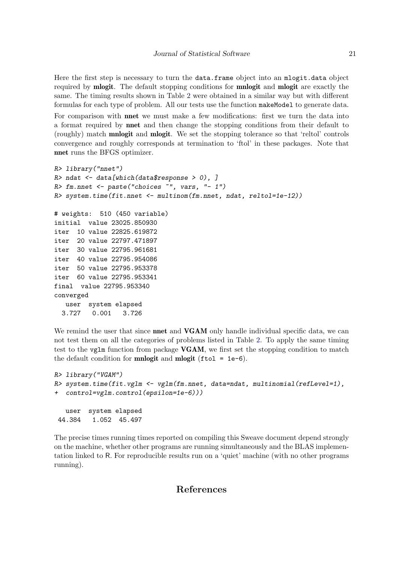Here the first step is necessary to turn the data.frame object into an mlogit.data object required by mlogit. The default stopping conditions for mnlogit and mlogit are exactly the same. The timing results shown in Table [2](#page-14-0) were obtained in a similar way but with different formulas for each type of problem. All our tests use the function makeModel to generate data.

For comparison with **nnet** we must make a few modifications: first we turn the data into a format required by nnet and then change the stopping conditions from their default to (roughly) match mnlogit and mlogit. We set the stopping tolerance so that 'reltol' controls convergence and roughly corresponds at termination to 'ftol' in these packages. Note that nnet runs the BFGS optimizer.

```
R> library("nnet")
R> ndat \leq data[which(data$response > 0), ]
R> fm.nnet <- paste("choices ~", vars, "- 1")
R> system.time(fit.nnet <- multinom(fm.nnet, ndat, reltol=1e-12))
# weights: 510 (450 variable)
initial value 23025.850930
iter 10 value 22825.619872
iter 20 value 22797.471897
iter 30 value 22795.961681
iter 40 value 22795.954086
iter 50 value 22795.953378
iter 60 value 22795.953341
final value 22795.953340
converged
  user system elapsed
 3.727 0.001 3.726
```
We remind the user that since **nnet** and **VGAM** only handle individual specific data, we can not test them on all the categories of problems listed in Table [2.](#page-14-0) To apply the same timing test to the vglm function from package VGAM, we first set the stopping condition to match the default condition for **mnlogit** and **mlogit** (ftol =  $1e-6$ ).

```
R> library("VGAM")
R> system.time(fit.vglm <- vglm(fm.nnet, data=ndat, multinomial(refLevel=1),
+ control=vglm.control(epsilon=1e-6)))
  user system elapsed
44.384 1.052 45.497
```
The precise times running times reported on compiling this Sweave document depend strongly on the machine, whether other programs are running simultaneously and the BLAS implementation linked to R. For reproducible results run on a 'quiet' machine (with no other programs running).

## References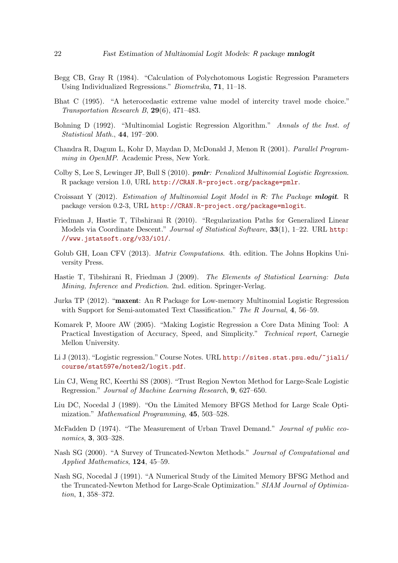- <span id="page-21-3"></span>Begg CB, Gray R (1984). "Calculation of Polychotomous Logistic Regression Parameters Using Individualized Regressions." Biometrika, 71, 11–18.
- <span id="page-21-1"></span>Bhat C (1995). "A heterocedastic extreme value model of intercity travel mode choice." Transportation Research B, 29(6), 471–483.
- <span id="page-21-11"></span>Bohning D (1992). "Multinomial Logistic Regression Algorithm." Annals of the Inst. of Statistical Math., 44, 197–200.
- <span id="page-21-13"></span>Chandra R, Dagum L, Kohr D, Maydan D, McDonald J, Menon R (2001). Parallel Programming in OpenMP. Academic Press, New York.
- <span id="page-21-8"></span>Colby S, Lee S, Lewinger JP, Bull S (2010). **pmlr**: Penalized Multinomial Logistic Regression. R package version 1.0, URL <http://CRAN.R-project.org/package=pmlr>.
- <span id="page-21-9"></span>Croissant Y (2012). *Estimation of Multinomial Logit Model in R: The Package mlogit.* R package version 0.2-3, URL <http://CRAN.R-project.org/package=mlogit>.
- <span id="page-21-6"></span>Friedman J, Hastie T, Tibshirani R (2010). "Regularization Paths for Generalized Linear Models via Coordinate Descent." Journal of Statistical Software, 33(1), 1-22. URL [http:](http://www.jstatsoft.org/v33/i01/) [//www.jstatsoft.org/v33/i01/](http://www.jstatsoft.org/v33/i01/).
- <span id="page-21-12"></span>Golub GH, Loan CFV (2013). *Matrix Computations.* 4th. edition. The Johns Hopkins University Press.
- <span id="page-21-2"></span>Hastie T, Tibshirani R, Friedman J (2009). The Elements of Statistical Learning: Data Mining, Inference and Prediction. 2nd. edition. Springer-Verlag.
- <span id="page-21-7"></span>Jurka TP (2012). "maxent: An R Package for Low-memory Multinomial Logistic Regression with Support for Semi-automated Text Classification." The R Journal, 4, 56-59.
- <span id="page-21-4"></span>Komarek P, Moore AW (2005). "Making Logistic Regression a Core Data Mining Tool: A Practical Investigation of Accuracy, Speed, and Simplicity." Technical report, Carnegie Mellon University.
- <span id="page-21-10"></span>Li J (2013). "Logistic regression." Course Notes. URL [http://sites.stat.psu.edu/~jiali/](http://sites.stat.psu.edu/~jiali/course/stat597e/notes2/logit.pdf) [course/stat597e/notes2/logit.pdf](http://sites.stat.psu.edu/~jiali/course/stat597e/notes2/logit.pdf).
- <span id="page-21-5"></span>Lin CJ, Weng RC, Keerthi SS (2008). "Trust Region Newton Method for Large-Scale Logistic Regression." Journal of Machine Learning Research, 9, 627–650.
- <span id="page-21-14"></span>Liu DC, Nocedal J (1989). "On the Limited Memory BFGS Method for Large Scale Optimization." Mathematical Programming, 45, 503–528.
- <span id="page-21-0"></span>McFadden D (1974). "The Measurement of Urban Travel Demand." *Journal of public eco*nomics, 3, 303–328.
- <span id="page-21-15"></span>Nash SG (2000). "A Survey of Truncated-Newton Methods." Journal of Computational and Applied Mathematics, 124, 45–59.
- <span id="page-21-16"></span>Nash SG, Nocedal J (1991). "A Numerical Study of the Limited Memory BFSG Method and the Truncated-Newton Method for Large-Scale Optimization." SIAM Journal of Optimization, 1, 358–372.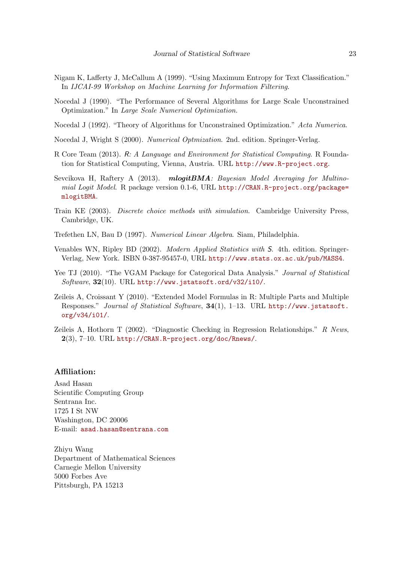- <span id="page-22-1"></span>Nigam K, Lafferty J, McCallum A (1999). "Using Maximum Entropy for Text Classification." In IJCAI-99 Workshop on Machine Learning for Information Filtering.
- <span id="page-22-7"></span>Nocedal J (1990). "The Performance of Several Algorithms for Large Scale Unconstrained Optimization." In Large Scale Numerical Optimization.
- <span id="page-22-6"></span>Nocedal J (1992). "Theory of Algorithms for Unconstrained Optimization." Acta Numerica.
- <span id="page-22-9"></span>Nocedal J, Wright S (2000). Numerical Optmization. 2nd. edition. Springer-Verlag.
- <span id="page-22-2"></span>R Core Team (2013). R: A Language and Environment for Statistical Computing. R Foundation for Statistical Computing, Vienna, Austria. URL <http://www.R-project.org>.
- <span id="page-22-3"></span>Sevcikova H, Raftery A (2013). mlogitBMA: Bayesian Model Averaging for Multinomial Logit Model. R package version 0.1-6, URL [http://CRAN.R-project.org/package=](http://CRAN.R-project.org/package=mlogitBMA) [mlogitBMA](http://CRAN.R-project.org/package=mlogitBMA).
- <span id="page-22-0"></span>Train KE (2003). Discrete choice methods with simulation. Cambridge University Press, Cambridge, UK.
- <span id="page-22-11"></span>Trefethen LN, Bau D (1997). Numerical Linear Algebra. Siam, Philadelphia.
- <span id="page-22-5"></span>Venables WN, Ripley BD (2002). Modern Applied Statistics with S. 4th. edition. Springer-Verlag, New York. ISBN 0-387-95457-0, URL <http://www.stats.ox.ac.uk/pub/MASS4>.
- <span id="page-22-4"></span>Yee TJ (2010). "The VGAM Package for Categorical Data Analysis." Journal of Statistical Software,  $32(10)$ . URL <http://www.jstatsoft.ord/v32/i10/>.
- <span id="page-22-8"></span>Zeileis A, Croissant Y (2010). "Extended Model Formulas in R: Multiple Parts and Multiple Responses." Journal of Statistical Software,  $34(1)$ , 1–13. URL [http://www.jstatsoft.](http://www.jstatsoft.org/v34/i01/) [org/v34/i01/](http://www.jstatsoft.org/v34/i01/).
- <span id="page-22-10"></span>Zeileis A, Hothorn T (2002). "Diagnostic Checking in Regression Relationships." R News,  $2(3)$ , 7-10. URL <http://CRAN.R-project.org/doc/Rnews/>.

#### Affiliation:

Asad Hasan Scientific Computing Group Sentrana Inc. 1725 I St NW Washington, DC 20006 E-mail: [asad.hasan@sentrana.com](mailto:asad.hasan@sentrana.com)

Zhiyu Wang Department of Mathematical Sciences Carnegie Mellon University 5000 Forbes Ave Pittsburgh, PA 15213